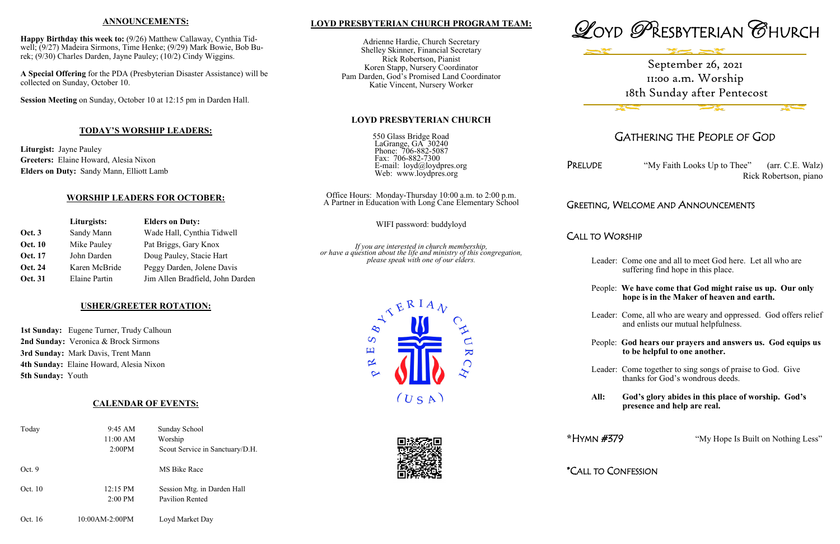# **LOYD PRESBYTERIAN CHURCH PROGRAM TEAM:**

Adrienne Hardie, Church Secretary Shelley Skinner, Financial Secretary Rick Robertson, Pianist Koren Stapp, Nursery Coordinator Pam Darden, God's Promised Land Coordinator Katie Vincent, Nursery Worker





## **LOYD PRESBYTERIAN CHURCH**

550 Glass Bridge Road LaGrange, GA<sup>3</sup> 30240 Phone: 706-882-5087 Fax: 706-882-7300 E-mail: loyd@loydpres.org Web: www.loydpres.org

PRELUDE "My Faith Looks Up to Thee" (arr. C.E. Walz) Rick Robertson, piano

Office Hours: Monday-Thursday 10:00 a.m. to 2:00 p.m. A Partner in Education with Long Cane Elementary School

WIFI password: buddyloyd

*If you are interested in church membership, or have a question about the life and ministry of this congregation, please speak with one of our elders.*





# GATHERING THE PEOPLE OF GOD

# GREETING, WELCOME AND ANNOUNCEMENTS

CALL TO WORSHIP

- Leader: Come one and all to meet God here. Let all who are suffering find hope in this place.
- People: **We have come that God might raise us up. Our only hope is in the Maker of heaven and earth.**
- Leader: Come, all who are weary and oppressed. God offers relief and enlists our mutual helpfulness.
- People: **God hears our prayers and answers us. God equips us to be helpful to one another.**
- Leader: Come together to sing songs of praise to God. Give thanks for God's wondrous deeds.
- **All: God's glory abides in this place of worship. God's presence and help are real.**

**\***HYMN #379 "My Hope Is Built on Nothing Less"

\*CALL TO CONFESSION



#### **ANNOUNCEMENTS:**

**Happy Birthday this week to:** (9/26) Matthew Callaway, Cynthia Tidwell; (9/27) Madeira Sirmons, Time Henke; (9/29) Mark Bowie, Bob Burek; (9/30) Charles Darden, Jayne Pauley; (10/2) Cindy Wiggins.

**A Special Offering** for the PDA (Presbyterian Disaster Assistance) will be collected on Sunday, October 10.

**Session Meeting** on Sunday, October 10 at 12:15 pm in Darden Hall.

## **TODAY'S WORSHIP LEADERS:**

**Liturgist:** Jayne Pauley **Greeters:** Elaine Howard, Alesia Nixon **Elders on Duty:** Sandy Mann, Elliott Lamb

# **WORSHIP LEADERS FOR OCTOBER:**

|                | Liturgists:   | <b>Elders on Duty:</b>           |
|----------------|---------------|----------------------------------|
| <b>Oct. 3</b>  | Sandy Mann    | Wade Hall, Cynthia Tidwell       |
| <b>Oct. 10</b> | Mike Pauley   | Pat Briggs, Gary Knox            |
| Oct. 17        | John Darden   | Doug Pauley, Stacie Hart         |
| <b>Oct. 24</b> | Karen McBride | Peggy Darden, Jolene Davis       |
| <b>Oct. 31</b> | Elaine Partin | Jim Allen Bradfield, John Darden |

## **USHER/GREETER ROTATION:**

**1st Sunday:** Eugene Turner, Trudy Calhoun **2nd Sunday:** Veronica & Brock Sirmons **3rd Sunday:** Mark Davis, Trent Mann **4th Sunday:** Elaine Howard, Alesia Nixon **5th Sunday:** Youth

## **CALENDAR OF EVENTS:**

| Today   | 9:45 AM<br>11:00 AM<br>2:00PM           | Sunday School<br>Worship<br>Scout Service in Sanctuary/D.H. |
|---------|-----------------------------------------|-------------------------------------------------------------|
| Oct.9   |                                         | MS Bike Race                                                |
| Oct. 10 | $12:15 \text{ PM}$<br>$2:00 \text{ PM}$ | Session Mtg. in Darden Hall<br>Pavilion Rented              |
| Oct. 16 | 10:00AM-2:00PM                          | Loyd Market Day                                             |

# September 26, 2021 11:00 a.m. Worship 18th Sunday after Pentecost